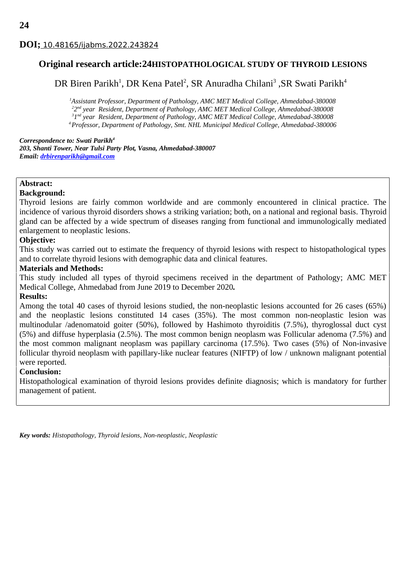# **DOI;** 10.48165/ijabms.2022.243824

# **Original research article:24HISTOPATHOLOGICAL STUDY OF THYROID LESIONS**

DR Biren Parikh<sup>1</sup>, DR Kena Patel<sup>2</sup>, SR Anuradha Chilani<sup>3</sup> ,SR Swati Parikh<sup>4</sup>

*Assistant Professor, Department of Pathology, AMC MET Medical College, Ahmedabad-380008 2 nd year Resident, Department of Pathology, AMC MET Medical College, Ahmedabad-380008 1 nd year Resident, Department of Pathology, AMC MET Medical College, Ahmedabad-380008 Professor, Department of Pathology, Smt. NHL Municipal Medical College, Ahmedabad-380006*

### *Correspondence to: Swati Parikh<sup>4</sup>*

*203, Shanti Tower, Near Tulsi Party Plot, Vasna, Ahmedabad-380007 Email: [drbirenparikh@gmail.com](mailto:drbirenparikh@gmail.com)*

## **Abstract:**

## **Background:**

Thyroid lesions are fairly common worldwide and are commonly encountered in clinical practice. The incidence of various thyroid disorders shows a striking variation; both, on a national and regional basis. Thyroid gland can be affected by a wide spectrum of diseases ranging from functional and immunologically mediated enlargement to neoplastic lesions.

## **Objective:**

This study was carried out to estimate the frequency of thyroid lesions with respect to histopathological types and to correlate thyroid lesions with demographic data and clinical features*.*

## **Materials and Methods:**

This study included all types of thyroid specimens received in the department of Pathology; AMC MET Medical College, Ahmedabad from June 2019 to December 2020*.* 

## **Results:**

Among the total 40 cases of thyroid lesions studied, the non-neoplastic lesions accounted for 26 cases (65%) and the neoplastic lesions constituted 14 cases (35%). The most common non-neoplastic lesion was multinodular /adenomatoid goiter (50%), followed by Hashimoto thyroiditis (7.5%), thyroglossal duct cyst (5%) and diffuse hyperplasia (2.5%). The most common benign neoplasm was Follicular adenoma (7.5%) and the most common malignant neoplasm was papillary carcinoma (17.5%). Two cases (5%) of Non-invasive follicular thyroid neoplasm with papillary-like nuclear features (NIFTP) of low / unknown malignant potential were reported.

## **Conclusion:**

Histopathological examination of thyroid lesions provides definite diagnosis; which is mandatory for further management of patient.

*Key words: Histopathology, Thyroid lesions, Non-neoplastic, Neoplastic*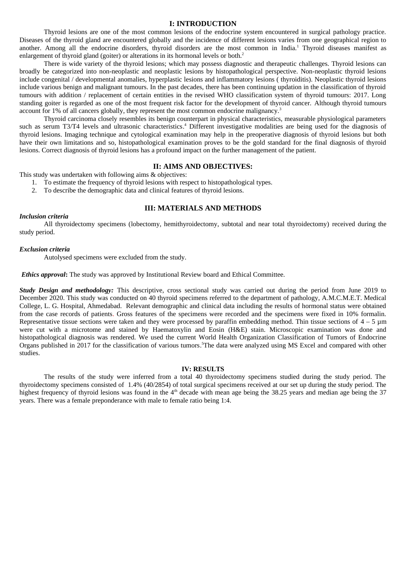## **I: INTRODUCTION**

Thyroid lesions are one of the most common lesions of the endocrine system encountered in surgical pathology practice. Diseases of the thyroid gland are encountered globally and the incidence of different lesions varies from one geographical region to another. Among all the endocrine disorders, thyroid disorders are the most common in India.<sup>1</sup> Thyroid diseases manifest as enlargement of thyroid gland (goiter) or alterations in its hormonal levels or both.<sup>2</sup>

There is wide variety of the thyroid lesions; which may possess diagnostic and therapeutic challenges. Thyroid lesions can broadly be categorized into non-neoplastic and neoplastic lesions by histopathological perspective. Non-neoplastic thyroid lesions include congenital / developmental anomalies, hyperplastic lesions and inflammatory lesions ( thyroiditis). Neoplastic thyroid lesions include various benign and malignant tumours. In the past decades, there has been continuing updation in the classification of thyroid tumours with addition / replacement of certain entities in the revised WHO classification system of thyroid tumours: 2017. Long standing goiter is regarded as one of the most frequent risk factor for the development of thyroid cancer. Although thyroid tumours account for  $1\%$  of all cancers globally, they represent the most common endocrine malignancy.<sup>3</sup>

Thyroid carcinoma closely resembles its benign counterpart in physical characteristics, measurable physiological parameters such as serum T3/T4 levels and ultrasonic characteristics.<sup>4</sup> Different investigative modalities are being used for the diagnosis of thyroid lesions. Imaging technique and cytological examination may help in the preoperative diagnosis of thyroid lesions but both have their own limitations and so, histopathological examination proves to be the gold standard for the final diagnosis of thyroid lesions. Correct diagnosis of thyroid lesions has a profound impact on the further management of the patient.

#### **II: AIMS AND OBJECTIVES:**

This study was undertaken with following aims & objectives:

- 1. To estimate the frequency of thyroid lesions with respect to histopathological types.
- 2. To describe the demographic data and clinical features of thyroid lesions.

#### **III: MATERIALS AND METHODS**

#### *Inclusion criteria*

All thyroidectomy specimens (lobectomy, hemithyroidectomy, subtotal and near total thyroidectomy) received during the study period.

#### *Exclusion criteria*

Autolysed specimens were excluded from the study.

*Ethics approval***:** The study was approved by Institutional Review board and Ethical Committee.

*Study Design and methodology:* This descriptive, cross sectional study was carried out during the period from June 2019 to December 2020. This study was conducted on 40 thyroid specimens referred to the department of pathology, A.M.C.M.E.T. Medical College, L. G. Hospital, Ahmedabad. Relevant demographic and clinical data including the results of hormonal status were obtained from the case records of patients. Gross features of the specimens were recorded and the specimens were fixed in 10% formalin. Representative tissue sections were taken and they were processed by paraffin embedding method. Thin tissue sections of  $4 - 5 \mu m$ were cut with a microtome and stained by Haematoxylin and Eosin (H&E) stain. Microscopic examination was done and histopathological diagnosis was rendered. We used the current World Health Organization Classification of Tumors of Endocrine Organs published in 2017 for the classification of various tumors. <sup>5</sup>The data were analyzed using MS Excel and compared with other studies.

#### **IV: RESULTS**

The results of the study were inferred from a total 40 thyroidectomy specimens studied during the study period. The thyroidectomy specimens consisted of 1.4% (40/2854) of total surgical specimens received at our set up during the study period. The highest frequency of thyroid lesions was found in the 4<sup>th</sup> decade with mean age being the 38.25 years and median age being the 37 years. There was a female preponderance with male to female ratio being 1:4.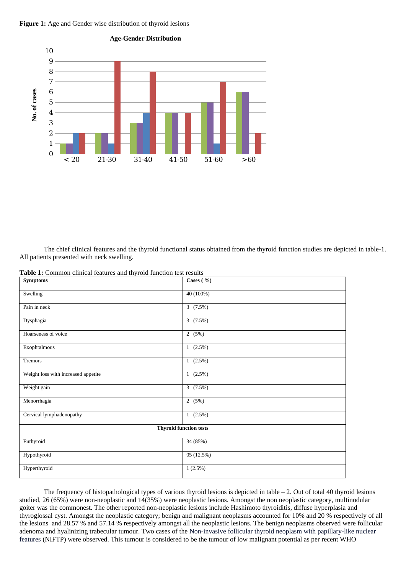#### **Figure 1:** Age and Gender wise distribution of thyroid lesions



The chief clinical features and the thyroid functional status obtained from the thyroid function studies are depicted in table-1. All patients presented with neck swelling.

| <b>Symptoms</b>                     | Cases $( %)$ |  |  |
|-------------------------------------|--------------|--|--|
| Swelling                            | 40 (100%)    |  |  |
| Pain in neck                        | 3(7.5%)      |  |  |
| Dysphagia                           | 3(7.5%)      |  |  |
| Hoarseness of voice                 | 2(5%)        |  |  |
| Exophtalmous                        | $1(2.5\%)$   |  |  |
| Tremors                             | $1(2.5\%)$   |  |  |
| Weight loss with increased appetite | $1(2.5\%)$   |  |  |
| Weight gain                         | 3(7.5%)      |  |  |
| Menorrhagia                         | 2(5%)        |  |  |
| Cervical lymphadenopathy            | $1(2.5\%)$   |  |  |
| <b>Thyroid function tests</b>       |              |  |  |
| Euthyroid                           | 34 (85%)     |  |  |
| Hypothyroid                         | 05 (12.5%)   |  |  |
| Hyperthyroid                        | 1(2.5%)      |  |  |

The frequency of histopathological types of various thyroid lesions is depicted in table – 2. Out of total 40 thyroid lesions studied, 26 (65%) were non-neoplastic and 14(35%) were neoplastic lesions. Amongst the non neoplastic category, multinodular goiter was the commonest. The other reported non-neoplastic lesions include Hashimoto thyroiditis, diffuse hyperplasia and thyroglossal cyst. Amongst the neoplastic category; benign and malignant neoplasms accounted for 10% and 20 % respectively of all the lesions and 28.57 % and 57.14 % respectively amongst all the neoplastic lesions. The benign neoplasms observed were follicular adenoma and hyalinizing trabecular tumour. Two cases of the Non-invasive follicular thyroid neoplasm with papillary-like nuclear features (NIFTP) were observed. This tumour is considered to be the tumour of low malignant potential as per recent WHO

**Age-Gender Distribution**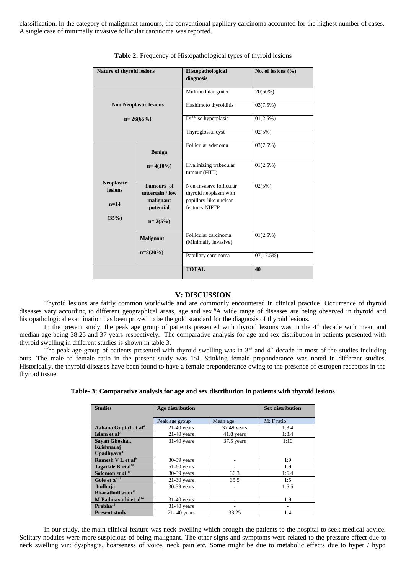classification. In the category of maligmnat tumours, the conventional papillary carcinoma accounted for the highest number of cases. A single case of minimally invasive follicular carcinoma was reported.

| <b>Nature of thyroid lesions</b>    |                                                   | Histopathological<br>diagnosis                                             | No. of lesions (%) |
|-------------------------------------|---------------------------------------------------|----------------------------------------------------------------------------|--------------------|
|                                     |                                                   | Multinodular goiter                                                        | 20(50%)            |
| <b>Non Neoplastic lesions</b>       |                                                   | Hashimoto thyroiditis                                                      | 03(7.5%)           |
| $n = 26(65%)$                       |                                                   | Diffuse hyperplasia                                                        | 01(2.5%)           |
|                                     |                                                   | Thyroglossal cyst                                                          | 02(5%)             |
|                                     | <b>Benign</b>                                     | Follicular adenoma                                                         | 03(7.5%)           |
|                                     | $n = 4(10\%)$                                     | Hyalinizing trabecular<br>tumour (HTT)                                     | 01(2.5%)           |
| <b>Neoplastic</b><br><b>lesions</b> | <b>Tumours</b> of<br>uncertain / low<br>malignant | Non-invasive follicular<br>thyroid neoplasm with<br>papillary-like nuclear | 02(5%)             |
| $n=14$<br>potential<br>(35%)        |                                                   | features NIFTP                                                             |                    |
|                                     | $n = 2(5%)$                                       |                                                                            |                    |
|                                     | <b>Malignant</b>                                  | Follicular carcinoma<br>(Minimally invasive)                               | 01(2.5%)           |
|                                     | $n=8(20%)$                                        | Papillary carcinoma                                                        | 07(17.5%)          |
|                                     |                                                   | <b>TOTAL</b>                                                               | 40                 |

#### **Table 2:** Frequency of Histopathological types of thyroid lesions

#### **V: DISCUSSION**

Thyroid lesions are fairly common worldwide and are commonly encountered in clinical practice. Occurrence of thyroid diseases vary according to different geographical areas, age and sex.<sup>6</sup>A wide range of diseases are being observed in thyroid and histopathological examination has been proved to be the gold standard for the diagnosis of thyroid lesions.

In the present study, the peak age group of patients presented with thyroid lesions was in the 4<sup>th</sup> decade with mean and median age being 38.25 and 37 years respectively. The comparative analysis for age and sex distribution in patients presented with thyroid swelling in different studies is shown in table 3.

The peak age group of patients presented with thyroid swelling was in  $3<sup>rd</sup>$  and  $4<sup>th</sup>$  decade in most of the studies including ours. The male to female ratio in the present study was 1:4. Stinking female preponderance was noted in different studies. Historically, the thyroid diseases have been found to have a female preponderance owing to the presence of estrogen receptors in the thyroid tissue.

| <b>Studies</b>                   | Age distribution           | <b>Sex distribution</b> |            |  |
|----------------------------------|----------------------------|-------------------------|------------|--|
|                                  | Peak age group<br>Mean age |                         | M: F ratio |  |
| Aahana Gupta1 et al <sup>4</sup> | $21-40$ years              | 37.49 years             | 1:3.4      |  |
| Islam et $al7$                   | $21-40$ years              | 41.8 years              | 1:3.4      |  |
| Savan Ghoshal,                   | $31-40$ years              | 37.5 years              | 1:10       |  |
| Krishnaraj                       |                            |                         |            |  |
| Upadhyaya <sup>8</sup>           |                            |                         |            |  |
| Ramesh V L et al <sup>9</sup>    | 30-39 years                |                         | 1:9        |  |
| Jagadale K etal <sup>10</sup>    | 51-60 years                |                         | 1:9        |  |
| Solomon et al <sup>11</sup>      | 30-39 years                | 36.3                    | 1:6.4      |  |
| Gole et al $^{12}$               | $21-30$ years              | 35.5                    | 1:5        |  |
| Indhuja                          | 30-39 years                |                         | 1:5.5      |  |
| Bharathidhasan <sup>13</sup>     |                            |                         |            |  |
| M Padmavathi et al <sup>14</sup> | $31-40$ years              |                         | 1:9        |  |
| $P$ rabha $^{15}$                | 31-40 years                |                         | ۰          |  |
| <b>Present study</b>             | 21-40 years                | 38.25                   | 1:4        |  |

**Table- 3: Comparative analysis for age and sex distribution in patients with thyroid lesions**

In our study, the main clinical feature was neck swelling which brought the patients to the hospital to seek medical advice. Solitary nodules were more suspicious of being malignant. The other signs and symptoms were related to the pressure effect due to neck swelling viz: dysphagia, hoarseness of voice, neck pain etc. Some might be due to metabolic effects due to hyper / hypo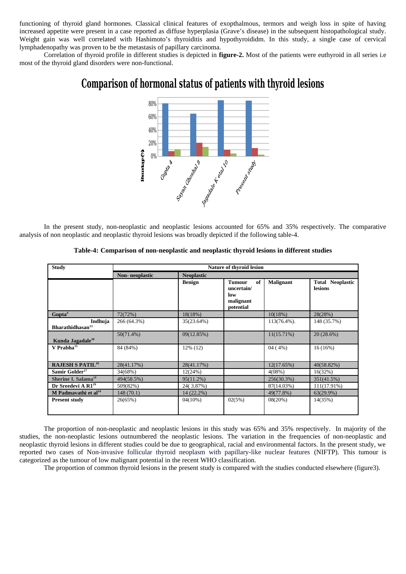functioning of thyroid gland hormones. Classical clinical features of exopthalmous, termors and weigh loss in spite of having increased appetite were present in a case reported as diffuse hyperplasia (Grave's disease) in the subsequent histopathological study. Weight gain was well correlated with Hashimoto's thyroiditis and hypothyroididm. In this study, a single case of cervical lymphadenopathy was proven to be the metastasis of papillary carcinoma.

Correlation of thyroid profile in different studies is depicted in **figure-2.** Most of the patients were euthyroid in all series i.e most of the thyroid gland disorders were non-functional.

# **Comparison of hormonal status of patients with thyroid lesions**



In the present study, non-neoplastic and neoplastic lesions accounted for 65% and 35% respectively. The comparative analysis of non neoplastic and neoplastic thyroid lesions was broadly depicted if the following table-4.

| <b>Study</b>                            | <b>Nature of thyroid lesion</b>             |               |                                                             |                  |                                    |
|-----------------------------------------|---------------------------------------------|---------------|-------------------------------------------------------------|------------------|------------------------------------|
|                                         | <b>Non-</b> neoplastic<br><b>Neoplastic</b> |               |                                                             |                  |                                    |
|                                         |                                             | <b>Benign</b> | of<br>Tumour<br>uncertain/<br>low<br>malignant<br>potential | <b>Malignant</b> | <b>Total Neoplastic</b><br>lesions |
| Gupta <sup>4</sup>                      | 72(72%)                                     | 18(18%)       |                                                             | 10(18%)          | 28(28%)                            |
| Indhuja<br>Bharathidhasan <sup>13</sup> | 266 (64.3%)                                 | 35(23.64%)    |                                                             | 113(76.4%).      | 148 (35.7%)                        |
| Kunda Jagadale <sup>10</sup>            | $50(71.4\%)$                                | 09(12.85%)    |                                                             | 11(15.71%)       | 20 (28.6%)                         |
| $V$ Prabha $^{15}$                      | 84 (84%)                                    | $12\%$ (12)   |                                                             | 04(4%)           | 16 (16%)                           |
| <b>RAJESH S PATIL<sup>16</sup></b>      | 28(41.17%)                                  | 28(41.17%)    |                                                             | 12(17.65%)       | 40(58.82%)                         |
| Samir Golder <sup>17</sup>              | 34(68%)                                     | 12(24%)       |                                                             | 4(08%)           | 16(32%)                            |
| Sherine I. Salama <sup>18</sup>         | 494(58.5%)                                  | 95(11.2%)     |                                                             | 256(30.3%)       | 351(41.5%)                         |
| Dr Sreedevi A R1 <sup>19</sup>          | 509(82%)                                    | 24(3.87%)     |                                                             | 87(14.03%)       | 111(17.91%)                        |
| M Padmavathi et al <sup>14</sup>        | 148 (70.1)                                  | 14 (22.2%)    |                                                             | 49(77.8%)        | 63(29.9%)                          |
| <b>Present study</b>                    | 26(65%)                                     | 04(10%)       | 02(5%)                                                      | 08(20%)          | 14(35%)                            |

| Table-4: Comparison of non-neoplastic and neoplastic thyroid lesions in different studies |  |  |
|-------------------------------------------------------------------------------------------|--|--|
|                                                                                           |  |  |

The proportion of non-neoplastic and neoplastic lesions in this study was 65% and 35% respectively. In majority of the studies, the non-neoplastic lesions outnumbered the neoplastic lesions. The variation in the frequencies of non-neoplastic and neoplastic thyroid lesions in different studies could be due to geographical, racial and environmental factors. In the present study, we reported two cases of Non-invasive follicular thyroid neoplasm with papillary-like nuclear features (NIFTP). This tumour is categorized as the tumour of low malignant potential in the recent WHO classification.

The proportion of common thyroid lesions in the present study is compared with the studies conducted elsewhere (figure3).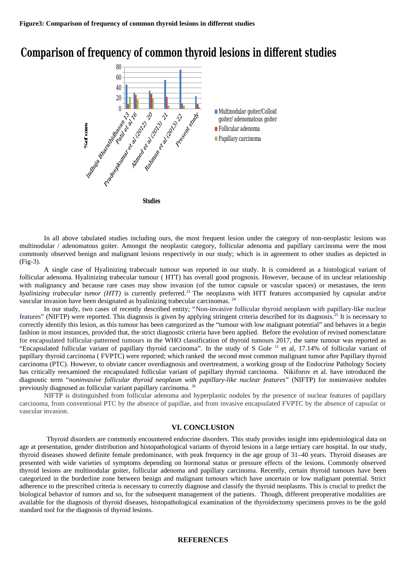# **Comparison of frequency of common thyroid lesions in different studies**



In all above tabulated studies including ours, the most frequent lesion under the category of non-neoplastic lesions was multinodular / adenomatous goiter. Amongst the neoplastic category, follicular adenoma and papillary carcinoma were the most commonly observed benign and malignant lesions respectively in our study; which is in agreement to other studies as depicted in (Fig-3).

A single case of Hyalinizing trabecualr tumour was reported in our study. It is considered as a histological variant of follicular adenoma. Hyalinizing trabecular tumour ( HTT) has overall good prognosis. However, because of its unclear relationship with malignancy and because rare cases may show invasion (of the tumor capsule or vascular spaces) or metastases, the term *hyalinizing trabecular tumor (HTT)* is currently preferred. <sup>23</sup> The neoplasms with HTT features accompanied by capsular and/or vascular invasion have been designated as hyalinizing trabecular carcinomas. <sup>24</sup>

In our study, two cases of recently described entity; "Non-invasive follicular thyroid neoplasm with papillary-like nuclear features" (NIFTP) were reported. This diagnosis is given by applying stringent criteria described for its diagnosis.<sup>25</sup> It is necessary to correctly identify this lesion, as this tumour has been categorized as the "tumour with low malignant potential" and behaves in a begin fashion in most instances, provided that, the strict diagnostic criteria have been applied. Before the evolution of revised nomenclature for encapsulated follicular-patterned tumours in the WHO classification of thyroid tumours 2017, the same tumour was reported as "Encapsulated follicular variant of papillary thyroid carcinoma". In the study of S Gole <sup>12</sup> et al, 17.14% of follicular variant of papillary thyroid carcinoma ( FVPTC) were reported; which ranked the second most common malignant tumor after Papillary thyroid carcinoma (PTC). However, to obviate cancer overdiagnosis and overtreatment, a working group of the Endocrine Pathology Society has critically reexamined the encapsulated follicular variant of papillary thyroid carcinoma. Nikiforov et al. have introduced the diagnostic term "*noninvasive follicular thyroid neoplasm with papillary-like nuclear features*" (NIFTP) for noninvasive nodules previously diagnosed as follicular variant papillary carcinoma. <sup>26</sup>

NIFTP is distinguished from follicular adenoma and hyperplastic nodules by the presence of nuclear features of papillary carcinoma, from conventional PTC by the absence of papillae, and from invasive encapsulated FVPTC by the absence of capsular or vascular invasion.

#### **VI. CONCLUSION**

 Thyroid disorders are commonly encountered endocrine disorders. This study provides insight into epidemiological data on age at presentation, gender distribution and histopathological variants of thyroid lesions in a large tertiary care hospital. In our study, thyroid diseases showed definite female predominance, with peak frequency in the age group of 31–40 years. Thyroid diseases are presented with wide varieties of symptoms depending on hormonal status or pressure effects of the lesions. Commonly observed thyroid lesions are multinodular goiter, follicular adenoma and papillary carcinoma. Recently, certain thyroid tumours have been categorized in the borderline zone between benign and malignant tumours which have uncertain or low malignant potential. Strict adherence to the prescribed criteria is necessary to correctly diagnose and classify the thyroid neoplasms. This is crucial to predict the biological behavior of tumors and so, for the subsequent management of the patients. Though, different preoperative modalities are available for the diagnosis of thyroid diseases, histopathological examination of the thyroidectomy specimens proves to be the gold standard tool for the diagnosis of thyroid lesions.

#### **REFERENCES**